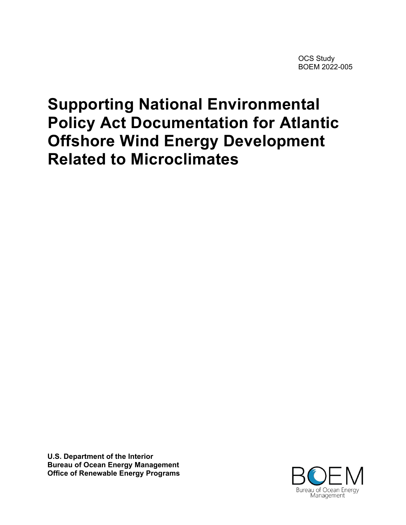OCS Study BOEM 2022-005

# **Supporting National Environmental Policy Act Documentation for Atlantic Offshore Wind Energy Development Related to Microclimates**

**U.S. Department of the Interior Bureau of Ocean Energy Management Office of Renewable Energy Programs**

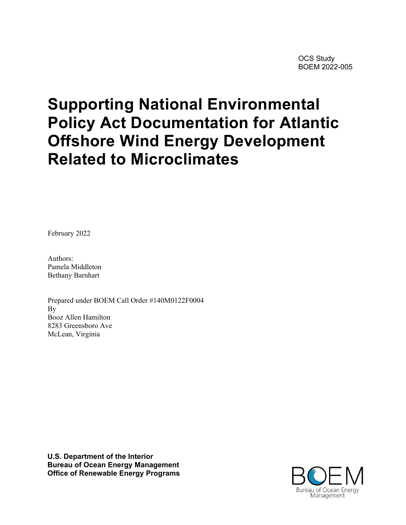OCS Study BOEM 2022-005

# **Supporting National Environmental Policy Act Documentation for Atlantic Offshore Wind Energy Development Related to Microclimates**

February 2022

Authors: Pamela Middleton Bethany Barnhart

Prepared under BOEM Call Order #140M0122F0004 By Booz Allen Hamilton 8283 Greensboro Ave McLean, Virginia

**U.S. Department of the Interior Bureau of Ocean Energy Management Office of Renewable Energy Programs**

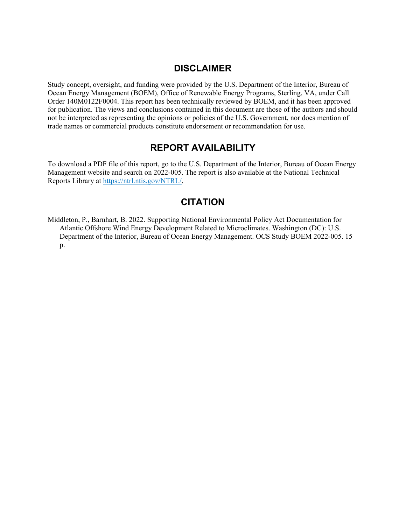#### **DISCLAIMER**

Study concept, oversight, and funding were provided by the U.S. Department of the Interior, Bureau of Ocean Energy Management (BOEM), Office of Renewable Energy Programs, Sterling, VA, under Call Order 140M0122F0004. This report has been technically reviewed by BOEM, and it has been approved for publication. The views and conclusions contained in this document are those of the authors and should not be interpreted as representing the opinions or policies of the U.S. Government, nor does mention of trade names or commercial products constitute endorsement or recommendation for use.

#### **REPORT AVAILABILITY**

To download a PDF file of this report, go to the U.S. Department of the Interior, Bureau of Ocean Energy Management website and search on 2022-005. The report is also available at the National Technical Reports Library at [https://ntrl.ntis.gov/NTRL/.](https://ntrl.ntis.gov/NTRL/)

#### **CITATION**

Middleton, P., Barnhart, B. 2022. Supporting National Environmental Policy Act Documentation for Atlantic Offshore Wind Energy Development Related to Microclimates. Washington (DC): U.S. Department of the Interior, Bureau of Ocean Energy Management. OCS Study BOEM 2022-005. 15 p.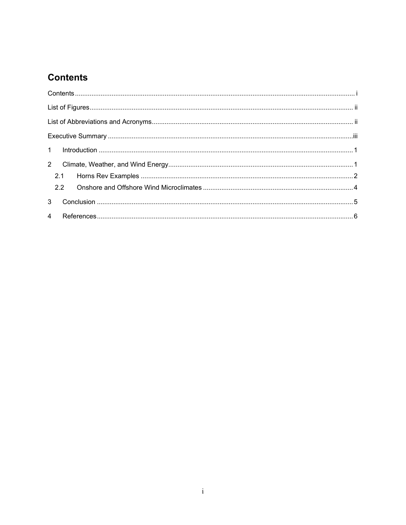## **Contents**

| $2^{\circ}$    |  |
|----------------|--|
| 2.1            |  |
|                |  |
| 3 <sup>7</sup> |  |
|                |  |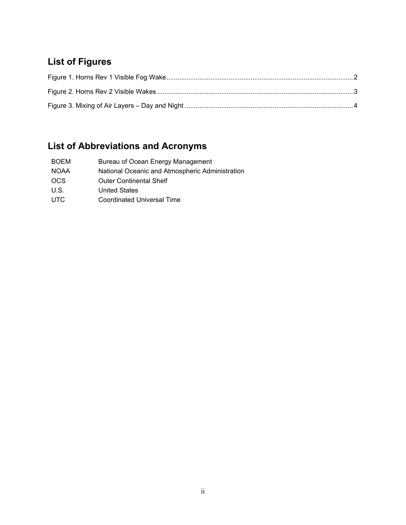## **List of Figures**

## **List of Abbreviations and Acronyms**

| <b>BOEM</b> | Bureau of Ocean Energy Management               |
|-------------|-------------------------------------------------|
| <b>NOAA</b> | National Oceanic and Atmospheric Administration |
| <b>OCS</b>  | <b>Outer Continental Shelf</b>                  |
| U.S.        | <b>United States</b>                            |
| <b>UTC</b>  | Coordinated Universal Time                      |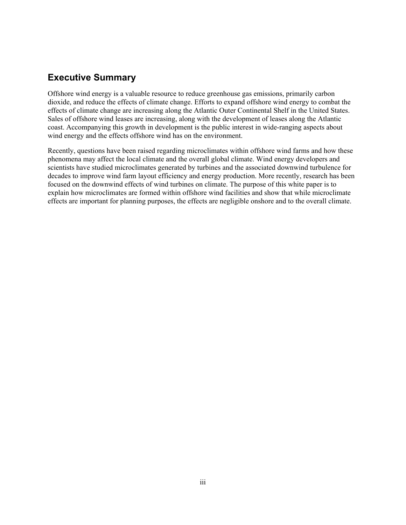### **Executive Summary**

Offshore wind energy is a valuable resource to reduce greenhouse gas emissions, primarily carbon dioxide, and reduce the effects of climate change. Efforts to expand offshore wind energy to combat the effects of climate change are increasing along the Atlantic Outer Continental Shelf in the United States. Sales of offshore wind leases are increasing, along with the development of leases along the Atlantic coast. Accompanying this growth in development is the public interest in wide-ranging aspects about wind energy and the effects offshore wind has on the environment.

Recently, questions have been raised regarding microclimates within offshore wind farms and how these phenomena may affect the local climate and the overall global climate. Wind energy developers and scientists have studied microclimates generated by turbines and the associated downwind turbulence for decades to improve wind farm layout efficiency and energy production. More recently, research has been focused on the downwind effects of wind turbines on climate. The purpose of this white paper is to explain how microclimates are formed within offshore wind facilities and show that while microclimate effects are important for planning purposes, the effects are negligible onshore and to the overall climate.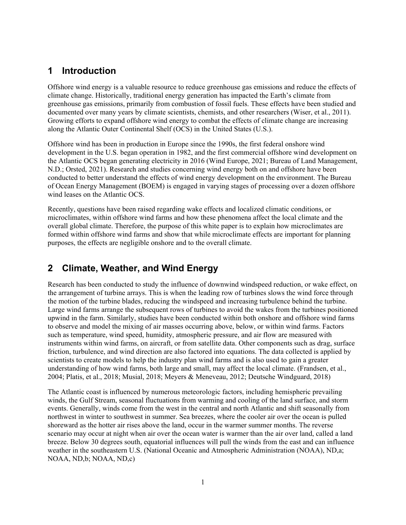### **1 Introduction**

Offshore wind energy is a valuable resource to reduce greenhouse gas emissions and reduce the effects of climate change. Historically, traditional energy generation has impacted the Earth's climate from greenhouse gas emissions, primarily from combustion of fossil fuels. These effects have been studied and documented over many years by climate scientists, chemists, and other researchers (Wiser, et al., 2011). Growing efforts to expand offshore wind energy to combat the effects of climate change are increasing along the Atlantic Outer Continental Shelf (OCS) in the United States (U.S.).

Offshore wind has been in production in Europe since the 1990s, the first federal onshore wind development in the U.S. began operation in 1982, and the first commercial offshore wind development on the Atlantic OCS began generating electricity in 2016 (Wind Europe, 2021; Bureau of Land Management, N.D.; Orsted, 2021). Research and studies concerning wind energy both on and offshore have been conducted to better understand the effects of wind energy development on the environment. The Bureau of Ocean Energy Management (BOEM) is engaged in varying stages of processing over a dozen offshore wind leases on the Atlantic OCS.

Recently, questions have been raised regarding wake effects and localized climatic conditions, or microclimates, within offshore wind farms and how these phenomena affect the local climate and the overall global climate. Therefore, the purpose of this white paper is to explain how microclimates are formed within offshore wind farms and show that while microclimate effects are important for planning purposes, the effects are negligible onshore and to the overall climate.

## **2 Climate, Weather, and Wind Energy**

Research has been conducted to study the influence of downwind windspeed reduction, or wake effect, on the arrangement of turbine arrays. This is when the leading row of turbines slows the wind force through the motion of the turbine blades, reducing the windspeed and increasing turbulence behind the turbine. Large wind farms arrange the subsequent rows of turbines to avoid the wakes from the turbines positioned upwind in the farm. Similarly, studies have been conducted within both onshore and offshore wind farms to observe and model the mixing of air masses occurring above, below, or within wind farms. Factors such as temperature, wind speed, humidity, atmospheric pressure, and air flow are measured with instruments within wind farms, on aircraft, or from satellite data. Other components such as drag, surface friction, turbulence, and wind direction are also factored into equations. The data collected is applied by scientists to create models to help the industry plan wind farms and is also used to gain a greater understanding of how wind farms, both large and small, may affect the local climate. (Frandsen, et al., 2004; Platis, et al., 2018; Musial, 2018; Meyers & Meneveau, 2012; Deutsche Windguard, 2018)

The Atlantic coast is influenced by numerous meteorologic factors, including hemispheric prevailing winds, the Gulf Stream, seasonal fluctuations from warming and cooling of the land surface, and storm events. Generally, winds come from the west in the central and north Atlantic and shift seasonally from northwest in winter to southwest in summer. Sea breezes, where the cooler air over the ocean is pulled shoreward as the hotter air rises above the land, occur in the warmer summer months. The reverse scenario may occur at night when air over the ocean water is warmer than the air over land, called a land breeze. Below 30 degrees south, equatorial influences will pull the winds from the east and can influence weather in the southeastern U.S. (National Oceanic and Atmospheric Administration (NOAA), ND,a; NOAA, ND,b; NOAA, ND,c)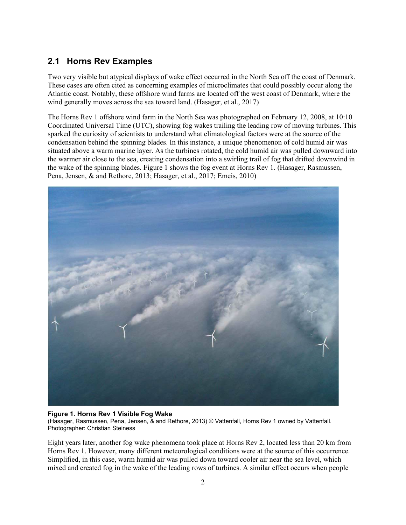#### **2.1 Horns Rev Examples**

Two very visible but atypical displays of wake effect occurred in the North Sea off the coast of Denmark. These cases are often cited as concerning examples of microclimates that could possibly occur along the Atlantic coast. Notably, these offshore wind farms are located off the west coast of Denmark, where the wind generally moves across the sea toward land. (Hasager, et al., 2017)

The Horns Rev 1 offshore wind farm in the North Sea was photographed on February 12, 2008, at 10:10 Coordinated Universal Time (UTC), showing fog wakes trailing the leading row of moving turbines. This sparked the curiosity of scientists to understand what climatological factors were at the source of the condensation behind the spinning blades. In this instance, a unique phenomenon of cold humid air was situated above a warm marine layer. As the turbines rotated, the cold humid air was pulled downward into the warmer air close to the sea, creating condensation into a swirling trail of fog that drifted downwind in the wake of the spinning blades. [Figure](#page-7-0) 1 shows the fog event at Horns Rev 1. (Hasager, Rasmussen, Pena, Jensen, & and Rethore, 2013; Hasager, et al., 2017; Emeis, 2010)



#### <span id="page-7-0"></span>**Figure 1. Horns Rev 1 Visible Fog Wake** (Hasager, Rasmussen, Pena, Jensen, & and Rethore, 2013) © Vattenfall, Horns Rev 1 owned by Vattenfall. Photographer: Christian Steiness

Eight years later, another fog wake phenomena took place at Horns Rev 2, located less than 20 km from Horns Rev 1. However, many different meteorological conditions were at the source of this occurrence. Simplified, in this case, warm humid air was pulled down toward cooler air near the sea level, which mixed and created fog in the wake of the leading rows of turbines. A similar effect occurs when people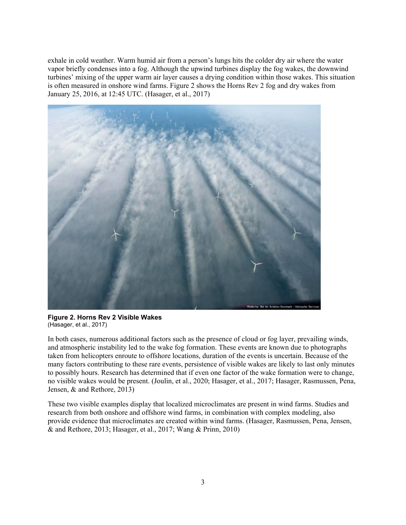exhale in cold weather. Warm humid air from a person's lungs hits the colder dry air where the water vapor briefly condenses into a fog. Although the upwind turbines display the fog wakes, the downwind turbines' mixing of the upper warm air layer causes a drying condition within those wakes. This situation is often measured in onshore wind farms. [Figure 2](#page-8-0) shows the Horns Rev 2 fog and dry wakes from January 25, 2016, at 12:45 UTC. (Hasager, et al., 2017)



**Figure 2. Horns Rev 2 Visible Wakes** (Hasager, et al., 2017)

<span id="page-8-0"></span>In both cases, numerous additional factors such as the presence of cloud or fog layer, prevailing winds, and atmospheric instability led to the wake fog formation. These events are known due to photographs taken from helicopters enroute to offshore locations, duration of the events is uncertain. Because of the many factors contributing to these rare events, persistence of visible wakes are likely to last only minutes to possibly hours. Research has determined that if even one factor of the wake formation were to change, no visible wakes would be present. (Joulin, et al., 2020; Hasager, et al., 2017; Hasager, Rasmussen, Pena, Jensen, & and Rethore, 2013)

These two visible examples display that localized microclimates are present in wind farms. Studies and research from both onshore and offshore wind farms, in combination with complex modeling, also provide evidence that microclimates are created within wind farms. (Hasager, Rasmussen, Pena, Jensen, & and Rethore, 2013; Hasager, et al., 2017; Wang & Prinn, 2010)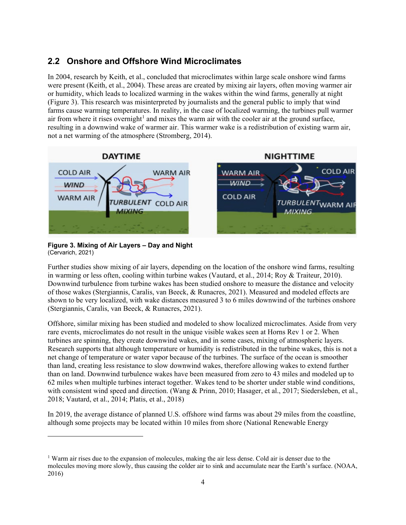#### **2.2 Onshore and Offshore Wind Microclimates**

In 2004, research by Keith, et al., concluded that microclimates within large scale onshore wind farms were present (Keith, et al., 2004). These areas are created by mixing air layers, often moving warmer air or humidity, which leads to localized warming in the wakes within the wind farms, generally at night [\(Figure 3\)](#page-9-0). This research was misinterpreted by journalists and the general public to imply that wind farms cause warming temperatures. In reality, in the case of localized warming, the turbines pull warmer air from where it rises overnight<sup>[1](#page-9-1)</sup> and mixes the warm air with the cooler air at the ground surface, resulting in a downwind wake of warmer air. This warmer wake is a redistribution of existing warm air, not a net warming of the atmosphere (Stromberg, 2014).



#### <span id="page-9-0"></span>**Figure 3. Mixing of Air Layers – Day and Night** (Cervarich, 2021)

Further studies show mixing of air layers, depending on the location of the onshore wind farms, resulting in warming or less often, cooling within turbine wakes (Vautard, et al., 2014; Roy & Traiteur, 2010). Downwind turbulence from turbine wakes has been studied onshore to measure the distance and velocity of those wakes (Stergiannis, Caralis, van Beeck, & Runacres, 2021). Measured and modeled effects are shown to be very localized, with wake distances measured 3 to 6 miles downwind of the turbines onshore (Stergiannis, Caralis, van Beeck, & Runacres, 2021).

Offshore, similar mixing has been studied and modeled to show localized microclimates. Aside from very rare events, microclimates do not result in the unique visible wakes seen at Horns Rev 1 or 2. When turbines are spinning, they create downwind wakes, and in some cases, mixing of atmospheric layers. Research supports that although temperature or humidity is redistributed in the turbine wakes, this is not a net change of temperature or water vapor because of the turbines. The surface of the ocean is smoother than land, creating less resistance to slow downwind wakes, therefore allowing wakes to extend further than on land. Downwind turbulence wakes have been measured from zero to 43 miles and modeled up to 62 miles when multiple turbines interact together. Wakes tend to be shorter under stable wind conditions, with consistent wind speed and direction. (Wang & Prinn, 2010; Hasager, et al., 2017; Siedersleben, et al., 2018; Vautard, et al., 2014; Platis, et al., 2018)

In 2019, the average distance of planned U.S. offshore wind farms was about 29 miles from the coastline, although some projects may be located within 10 miles from shore (National Renewable Energy

<span id="page-9-1"></span><sup>&</sup>lt;sup>1</sup> Warm air rises due to the expansion of molecules, making the air less dense. Cold air is denser due to the molecules moving more slowly, thus causing the colder air to sink and accumulate near the Earth's surface. (NOAA, 2016)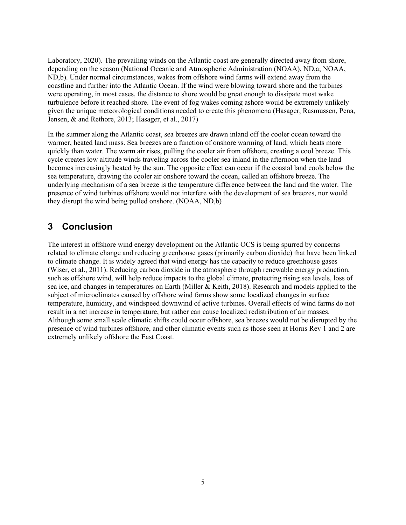Laboratory, 2020). The prevailing winds on the Atlantic coast are generally directed away from shore, depending on the season (National Oceanic and Atmospheric Administration (NOAA), ND,a; NOAA, ND,b). Under normal circumstances, wakes from offshore wind farms will extend away from the coastline and further into the Atlantic Ocean. If the wind were blowing toward shore and the turbines were operating, in most cases, the distance to shore would be great enough to dissipate most wake turbulence before it reached shore. The event of fog wakes coming ashore would be extremely unlikely given the unique meteorological conditions needed to create this phenomena (Hasager, Rasmussen, Pena, Jensen, & and Rethore, 2013; Hasager, et al., 2017)

In the summer along the Atlantic coast, sea breezes are drawn inland off the cooler ocean toward the warmer, heated land mass. Sea breezes are a function of onshore warming of land, which heats more quickly than water. The warm air rises, pulling the cooler air from offshore, creating a cool breeze. This cycle creates low altitude winds traveling across the cooler sea inland in the afternoon when the land becomes increasingly heated by the sun. The opposite effect can occur if the coastal land cools below the sea temperature, drawing the cooler air onshore toward the ocean, called an offshore breeze. The underlying mechanism of a sea breeze is the temperature difference between the land and the water. The presence of wind turbines offshore would not interfere with the development of sea breezes, nor would they disrupt the wind being pulled onshore. (NOAA, ND,b)

#### **3 Conclusion**

The interest in offshore wind energy development on the Atlantic OCS is being spurred by concerns related to climate change and reducing greenhouse gases (primarily carbon dioxide) that have been linked to climate change. It is widely agreed that wind energy has the capacity to reduce greenhouse gases (Wiser, et al., 2011). Reducing carbon dioxide in the atmosphere through renewable energy production, such as offshore wind, will help reduce impacts to the global climate, protecting rising sea levels, loss of sea ice, and changes in temperatures on Earth (Miller & Keith, 2018). Research and models applied to the subject of microclimates caused by offshore wind farms show some localized changes in surface temperature, humidity, and windspeed downwind of active turbines. Overall effects of wind farms do not result in a net increase in temperature, but rather can cause localized redistribution of air masses. Although some small scale climatic shifts could occur offshore, sea breezes would not be disrupted by the presence of wind turbines offshore, and other climatic events such as those seen at Horns Rev 1 and 2 are extremely unlikely offshore the East Coast.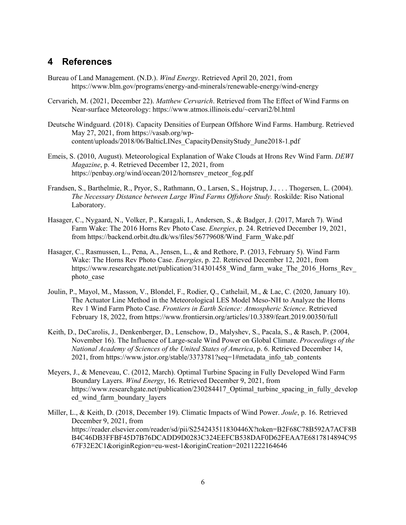#### **4 References**

- Bureau of Land Management. (N.D.). *Wind Energy*. Retrieved April 20, 2021, from https://www.blm.gov/programs/energy-and-minerals/renewable-energy/wind-energy
- Cervarich, M. (2021, December 22). *Matthew Cervarich*. Retrieved from The Effect of Wind Farms on Near-surface Meteorology: https://www.atmos.illinois.edu/~cervari2/bl.html
- Deutsche Windguard. (2018). Capacity Densities of Eurpean Offshore Wind Farms. Hamburg. Retrieved May 27, 2021, from https://vasab.org/wpcontent/uploads/2018/06/BalticLINes\_CapacityDensityStudy\_June2018-1.pdf
- Emeis, S. (2010, August). Meteorological Explanation of Wake Clouds at Hrons Rev Wind Farm. *DEWI Magazine*, p. 4. Retrieved December 12, 2021, from https://penbay.org/wind/ocean/2012/hornsrev\_meteor\_fog.pdf
- Frandsen, S., Barthelmie, R., Pryor, S., Rathmann, O., Larsen, S., Hojstrup, J., . . . Thogersen, L. (2004). *The Necessary Distance between Large Wind Farms Offshore Study.* Roskilde: Riso National Laboratory.
- Hasager, C., Nygaard, N., Volker, P., Karagali, I., Andersen, S., & Badger, J. (2017, March 7). Wind Farm Wake: The 2016 Horns Rev Photo Case. *Energies*, p. 24. Retrieved December 19, 2021, from https://backend.orbit.dtu.dk/ws/files/56779608/Wind\_Farm\_Wake.pdf
- Hasager, C., Rasmussen, L., Pena, A., Jensen, L., & and Rethore, P. (2013, February 5). Wind Farm Wake: The Horns Rev Photo Case. *Energies*, p. 22. Retrieved December 12, 2021, from https://www.researchgate.net/publication/314301458 Wind farm wake The 2016 Horns Rev photo case
- Joulin, P., Mayol, M., Masson, V., Blondel, F., Rodier, Q., Cathelail, M., & Lac, C. (2020, January 10). The Actuator Line Method in the Meteorological LES Model Meso-NH to Analyze the Horns Rev 1 Wind Farm Photo Case. *Frontiers in Earth Science: Atmospheric Science*. Retrieved February 18, 2022, from https://www.frontiersin.org/articles/10.3389/feart.2019.00350/full
- Keith, D., DeCarolis, J., Denkenberger, D., Lenschow, D., Malyshev, S., Pacala, S., & Rasch, P. (2004, November 16). The Influence of Large-scale Wind Power on Global Climate. *Proceedings of the National Academy of Sciences of the United States of America*, p. 6. Retrieved December 14, 2021, from https://www.jstor.org/stable/3373781?seq=1#metadata\_info\_tab\_contents
- Meyers, J., & Meneveau, C. (2012, March). Optimal Turbine Spacing in Fully Developed Wind Farm Boundary Layers. *Wind Energy*, 16. Retrieved December 9, 2021, from https://www.researchgate.net/publication/230284417 Optimal turbine spacing in fully develop ed\_wind\_farm\_boundary\_layers
- Miller, L., & Keith, D. (2018, December 19). Climatic Impacts of Wind Power. *Joule*, p. 16. Retrieved December 9, 2021, from https://reader.elsevier.com/reader/sd/pii/S254243511830446X?token=B2F68C78B592A7ACF8B B4C46DB3FFBF45D7B76DCADD9D0283C324EEFCB538DAF0D62FEAA7E6817814894C95 67F32E2C1&originRegion=eu-west-1&originCreation=20211222164646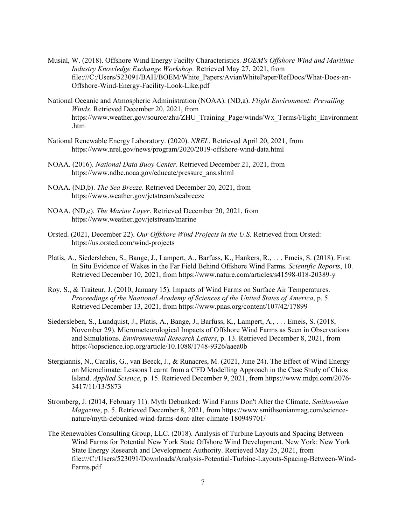- Musial, W. (2018). Offshore Wind Energy Facilty Characteristics. *BOEM's Offshore Wind and Maritime Industry Knowledge Exchange Workshop.* Retrieved May 27, 2021, from file:///C:/Users/523091/BAH/BOEM/White\_Papers/AvianWhitePaper/RefDocs/What-Does-an-Offshore-Wind-Energy-Facility-Look-Like.pdf
- National Oceanic and Atmospheric Administration (NOAA). (ND,a). *Flight Environment: Prevailing Winds*. Retrieved December 20, 2021, from https://www.weather.gov/source/zhu/ZHU\_Training\_Page/winds/Wx\_Terms/Flight\_Environment .htm
- National Renewable Energy Laboratory. (2020). *NREL*. Retrieved April 20, 2021, from https://www.nrel.gov/news/program/2020/2019-offshore-wind-data.html
- NOAA. (2016). *National Data Buoy Center*. Retrieved December 21, 2021, from https://www.ndbc.noaa.gov/educate/pressure\_ans.shtml
- NOAA. (ND,b). *The Sea Breeze*. Retrieved December 20, 2021, from https://www.weather.gov/jetstream/seabreeze
- NOAA. (ND,c). *The Marine Layer*. Retrieved December 20, 2021, from https://www.weather.gov/jetstream/marine
- Orsted. (2021, December 22). *Our Offshore Wind Projects in the U.S.* Retrieved from Orsted: https://us.orsted.com/wind-projects
- Platis, A., Siedersleben, S., Bange, J., Lampert, A., Barfuss, K., Hankers, R., . . . Emeis, S. (2018). First In Situ Evidence of Wakes in the Far Field Behind Offshore Wind Farms. *Scientific Reports*, 10. Retrieved December 10, 2021, from https://www.nature.com/articles/s41598-018-20389-y
- Roy, S., & Traiteur, J. (2010, January 15). Impacts of Wind Farms on Surface Air Temperatures. *Proceedings of the Naational Academy of Sciences of the United States of America*, p. 5. Retrieved December 13, 2021, from https://www.pnas.org/content/107/42/17899
- Siedersleben, S., Lundquist, J., Platis, A., Bange, J., Barfuss, K., Lampert, A., . . . Emeis, S. (2018, November 29). Micrometeorological Impacts of Offshore Wind Farms as Seen in Observations and Simulations. *Environmental Research Letters*, p. 13. Retrieved December 8, 2021, from https://iopscience.iop.org/article/10.1088/1748-9326/aaea0b
- Stergiannis, N., Caralis, G., van Beeck, J., & Runacres, M. (2021, June 24). The Effect of Wind Energy on Microclimate: Lessons Learnt from a CFD Modelling Approach in the Case Study of Chios Island. *Applied Science*, p. 15. Retrieved December 9, 2021, from https://www.mdpi.com/2076- 3417/11/13/5873
- Stromberg, J. (2014, February 11). Myth Debunked: Wind Farms Don't Alter the Climate. *Smithsonian Magazine*, p. 5. Retrieved December 8, 2021, from https://www.smithsonianmag.com/sciencenature/myth-debunked-wind-farms-dont-alter-climate-180949701/
- The Renewables Consulting Group, LLC. (2018). Analysis of Turbine Layouts and Spacing Between Wind Farms for Potential New York State Offshore Wind Development. New York: New York State Energy Research and Development Authority. Retrieved May 25, 2021, from file:///C:/Users/523091/Downloads/Analysis-Potential-Turbine-Layouts-Spacing-Between-Wind-Farms.pdf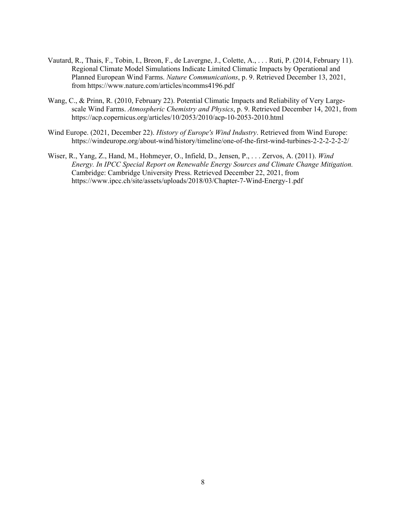- Vautard, R., Thais, F., Tobin, I., Breon, F., de Lavergne, J., Colette, A., . . . Ruti, P. (2014, February 11). Regional Climate Model Simulations Indicate Limited Climatic Impacts by Operational and Planned European Wind Farms. *Nature Communications*, p. 9. Retrieved December 13, 2021, from https://www.nature.com/articles/ncomms4196.pdf
- Wang, C., & Prinn, R. (2010, February 22). Potential Climatic Impacts and Reliability of Very Largescale Wind Farms. *Atmospheric Chemistry and Physics*, p. 9. Retrieved December 14, 2021, from https://acp.copernicus.org/articles/10/2053/2010/acp-10-2053-2010.html
- Wind Europe. (2021, December 22). *History of Europe's Wind Industry*. Retrieved from Wind Europe: https://windeurope.org/about-wind/history/timeline/one-of-the-first-wind-turbines-2-2-2-2-2-2/
- Wiser, R., Yang, Z., Hand, M., Hohmeyer, O., Infield, D., Jensen, P., . . . Zervos, A. (2011). *Wind Energy. In IPCC Special Report on Renewable Energy Sources and Climate Change Mitigation.* Cambridge: Cambridge University Press. Retrieved December 22, 2021, from https://www.ipcc.ch/site/assets/uploads/2018/03/Chapter-7-Wind-Energy-1.pdf